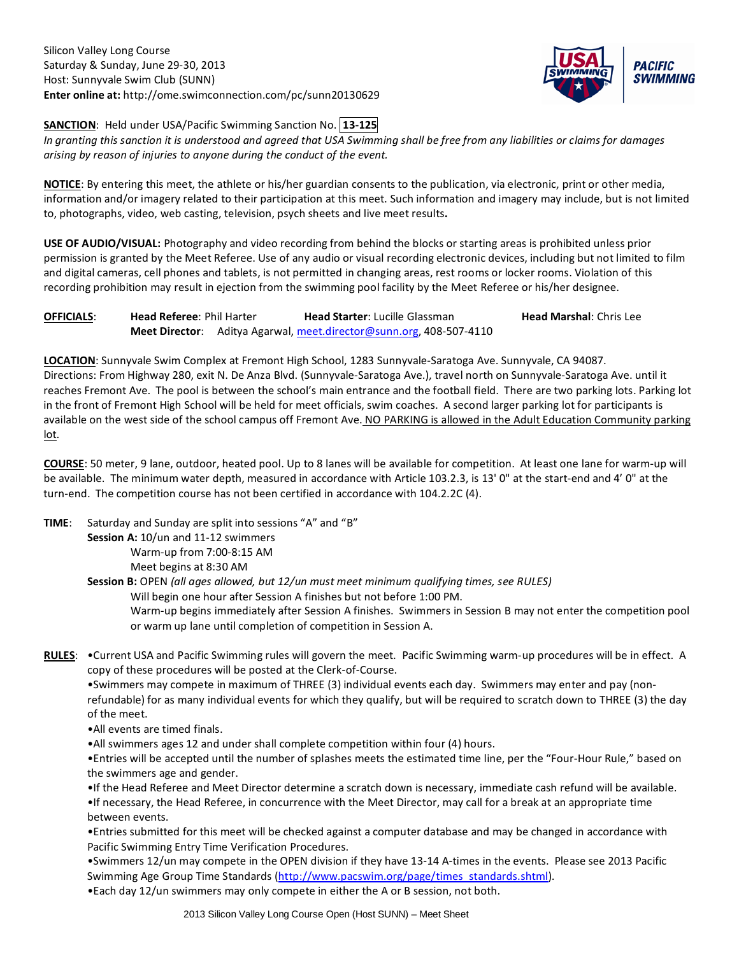Silicon Valley Long Course Saturday & Sunday, June 29-30, 2013 Host: Sunnyvale Swim Club (SUNN) **Enter online at:** http://ome.swimconnection.com/pc/sunn20130629



**SANCTION**: Held under USA/Pacific Swimming Sanction No. **13-125**

*In granting this sanction it is understood and agreed that USA Swimming shall be free from any liabilities or claims for damages arising by reason of injuries to anyone during the conduct of the event.*

**NOTICE**: By entering this meet, the athlete or his/her guardian consents to the publication, via electronic, print or other media, information and/or imagery related to their participation at this meet. Such information and imagery may include, but is not limited to, photographs, video, web casting, television, psych sheets and live meet results**.**

**USE OF AUDIO/VISUAL:** Photography and video recording from behind the blocks or starting areas is prohibited unless prior permission is granted by the Meet Referee. Use of any audio or visual recording electronic devices, including but not limited to film and digital cameras, cell phones and tablets, is not permitted in changing areas, rest rooms or locker rooms. Violation of this recording prohibition may result in ejection from the swimming pool facility by the Meet Referee or his/her designee.

**OFFICIALS: Head Referee: Phil Harter <b>Head Starter:** Lucille Glassman **Head Marshal:** Chris Lee **Meet Director**: Aditya Agarwal, [meet.director@sunn.org,](mailto:meet.director@sunn.org) 408-507-4110

**LOCATION**: Sunnyvale Swim Complex at Fremont High School, 1283 Sunnyvale-Saratoga Ave. Sunnyvale, CA 94087. Directions: From Highway 280, exit N. De Anza Blvd. (Sunnyvale-Saratoga Ave.), travel north on Sunnyvale-Saratoga Ave. until it reaches Fremont Ave. The pool is between the school's main entrance and the football field. There are two parking lots. Parking lot in the front of Fremont High School will be held for meet officials, swim coaches. A second larger parking lot for participants is available on the west side of the school campus off Fremont Ave. NO PARKING is allowed in the Adult Education Community parking lot.

**COURSE**: 50 meter, 9 lane, outdoor, heated pool. Up to 8 lanes will be available for competition. At least one lane for warm-up will be available. The minimum water depth, measured in accordance with Article 103.2.3, is 13' 0" at the start-end and 4' 0" at the turn-end. The competition course has not been certified in accordance with 104.2.2C (4).

**TIME**: Saturday and Sunday are split into sessions "A" and "B"

Session A: 10/un and 11-12 swimmers Warm-up from 7:00-8:15 AM Meet begins at 8:30 AM

**Session B:** OPEN *(all ages allowed, but 12/un must meet minimum qualifying times, see RULES)*

Will begin one hour after Session A finishes but not before 1:00 PM.

Warm-up begins immediately after Session A finishes. Swimmers in Session B may not enter the competition pool or warm up lane until completion of competition in Session A.

**RULES**: •Current USA and Pacific Swimming rules will govern the meet. Pacific Swimming warm-up procedures will be in effect. A copy of these procedures will be posted at the Clerk-of-Course.

•Swimmers may compete in maximum of THREE (3) individual events each day. Swimmers may enter and pay (nonrefundable) for as many individual events for which they qualify, but will be required to scratch down to THREE (3) the day of the meet.

- •All events are timed finals.
- •All swimmers ages 12 and under shall complete competition within four (4) hours.

•Entries will be accepted until the number of splashes meets the estimated time line, per the "Four-Hour Rule," based on the swimmers age and gender.

•If the Head Referee and Meet Director determine a scratch down is necessary, immediate cash refund will be available.

•If necessary, the Head Referee, in concurrence with the Meet Director, may call for a break at an appropriate time between events.

•Entries submitted for this meet will be checked against a computer database and may be changed in accordance with Pacific Swimming Entry Time Verification Procedures.

•Swimmers 12/un may compete in the OPEN division if they have 13-14 A-times in the events. Please see 2013 Pacific Swimming Age Group Time Standards [\(http://www.pacswim.org/page/times\\_standards.shtml\)](http://www.pacswim.org/page/times_standards.shtml). •Each day 12/un swimmers may only compete in either the A or B session, not both.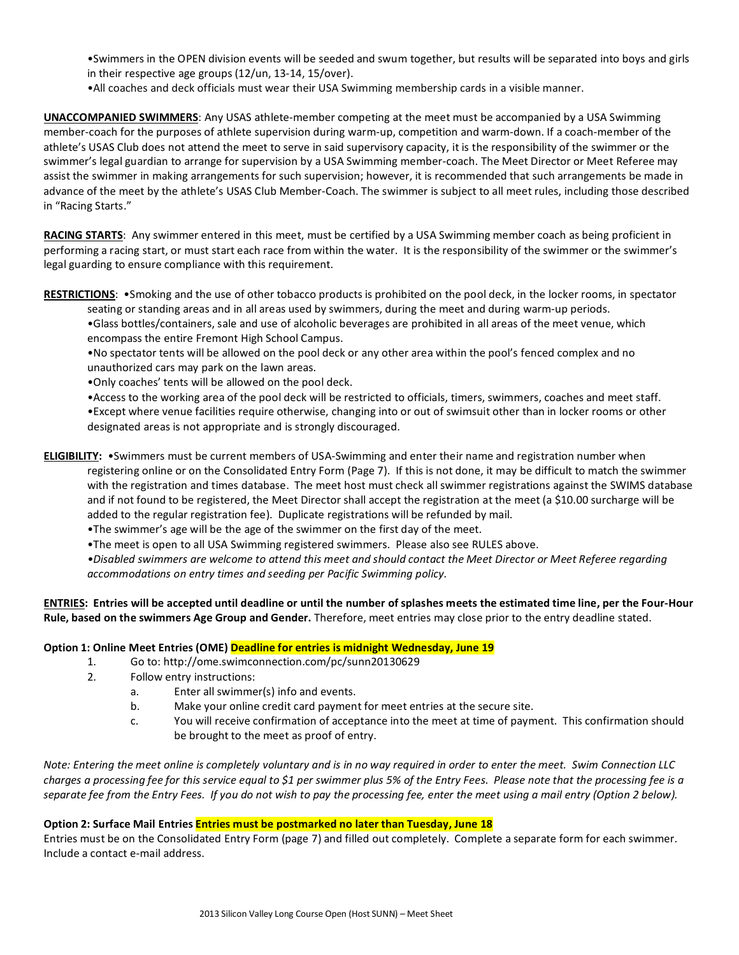•Swimmers in the OPEN division events will be seeded and swum together, but results will be separated into boys and girls in their respective age groups (12/un, 13-14, 15/over).

•All coaches and deck officials must wear their USA Swimming membership cards in a visible manner.

**UNACCOMPANIED SWIMMERS**: Any USAS athlete-member competing at the meet must be accompanied by a USA Swimming member-coach for the purposes of athlete supervision during warm-up, competition and warm-down. If a coach-member of the athlete's USAS Club does not attend the meet to serve in said supervisory capacity, it is the responsibility of the swimmer or the swimmer's legal guardian to arrange for supervision by a USA Swimming member-coach. The Meet Director or Meet Referee may assist the swimmer in making arrangements for such supervision; however, it is recommended that such arrangements be made in advance of the meet by the athlete's USAS Club Member-Coach. The swimmer is subject to all meet rules, including those described in "Racing Starts."

**RACING STARTS**: Any swimmer entered in this meet, must be certified by a USA Swimming member coach as being proficient in performing a racing start, or must start each race from within the water. It is the responsibility of the swimmer or the swimmer's legal guarding to ensure compliance with this requirement.

**RESTRICTIONS**: •Smoking and the use of other tobacco products is prohibited on the pool deck, in the locker rooms, in spectator

seating or standing areas and in all areas used by swimmers, during the meet and during warm-up periods. •Glass bottles/containers, sale and use of alcoholic beverages are prohibited in all areas of the meet venue, which encompass the entire Fremont High School Campus.

•No spectator tents will be allowed on the pool deck or any other area within the pool's fenced complex and no unauthorized cars may park on the lawn areas.

•Only coaches' tents will be allowed on the pool deck.

•Access to the working area of the pool deck will be restricted to officials, timers, swimmers, coaches and meet staff.

•Except where venue facilities require otherwise, changing into or out of swimsuit other than in locker rooms or other designated areas is not appropriate and is strongly discouraged.

**ELIGIBILITY:** •Swimmers must be current members of USA-Swimming and enter their name and registration number when registering online or on the Consolidated Entry Form (Page 7). If this is not done, it may be difficult to match the swimmer with the registration and times database. The meet host must check all swimmer registrations against the SWIMS database and if not found to be registered, the Meet Director shall accept the registration at the meet (a \$10.00 surcharge will be added to the regular registration fee). Duplicate registrations will be refunded by mail.

•The swimmer's age will be the age of the swimmer on the first day of the meet.

•The meet is open to all USA Swimming registered swimmers. Please also see RULES above.

*•Disabled swimmers are welcome to attend this meet and should contact the Meet Director or Meet Referee regarding accommodations on entry times and seeding per Pacific Swimming policy.*

**ENTRIES: Entries will be accepted until deadline or until the number of splashes meets the estimated time line, per the Four-Hour Rule, based on the swimmers Age Group and Gender.** Therefore, meet entries may close prior to the entry deadline stated.

## **Option 1: Online Meet Entries (OME) Deadline for entries is midnight Wednesday, June 19**

- 1. Go to: http://ome.swimconnection.com/pc/sunn20130629
- 2. Follow entry instructions:
	- a. Enter all swimmer(s) info and events.
	- b. Make your online credit card payment for meet entries at the secure site.
	- c. You will receive confirmation of acceptance into the meet at time of payment. This confirmation should be brought to the meet as proof of entry.

*Note: Entering the meet online is completely voluntary and is in no way required in order to enter the meet. Swim Connection LLC charges a processing fee for this service equal to \$1 per swimmer plus 5% of the Entry Fees. Please note that the processing fee is a separate fee from the Entry Fees. If you do not wish to pay the processing fee, enter the meet using a mail entry (Option 2 below).*

# **Option 2: Surface Mail Entries Entries must be postmarked no later than Tuesday, June 18**

Entries must be on the Consolidated Entry Form (page 7) and filled out completely. Complete a separate form for each swimmer. Include a contact e-mail address.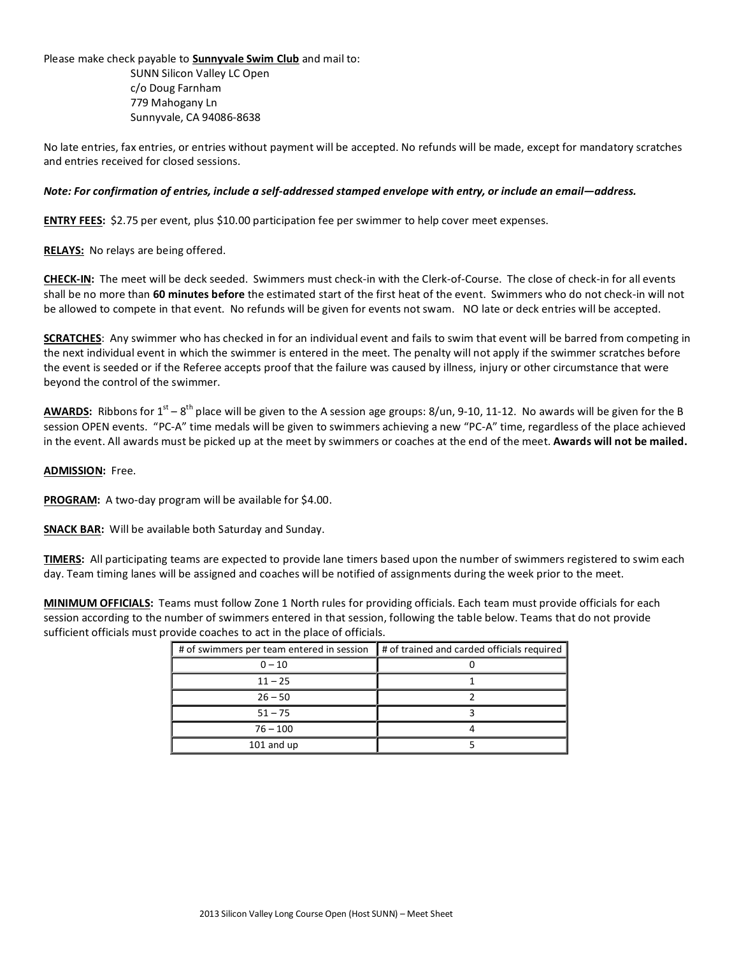Please make check payable to **Sunnyvale Swim Club** and mail to:

SUNN Silicon Valley LC Open c/o Doug Farnham 779 Mahogany Ln Sunnyvale, CA 94086-8638

No late entries, fax entries, or entries without payment will be accepted. No refunds will be made, except for mandatory scratches and entries received for closed sessions.

### *Note: For confirmation of entries, include a self-addressed stamped envelope with entry, or include an email—address.*

**ENTRY FEES:** \$2.75 per event, plus \$10.00 participation fee per swimmer to help cover meet expenses.

**RELAYS:** No relays are being offered.

**CHECK-IN:** The meet will be deck seeded. Swimmers must check-in with the Clerk-of-Course. The close of check-in for all events shall be no more than **60 minutes before** the estimated start of the first heat of the event. Swimmers who do not check-in will not be allowed to compete in that event. No refunds will be given for events not swam. NO late or deck entries will be accepted.

**SCRATCHES**: Any swimmer who has checked in for an individual event and fails to swim that event will be barred from competing in the next individual event in which the swimmer is entered in the meet. The penalty will not apply if the swimmer scratches before the event is seeded or if the Referee accepts proof that the failure was caused by illness, injury or other circumstance that were beyond the control of the swimmer.

AWARDS: Ribbons for 1<sup>st</sup> – 8<sup>th</sup> place will be given to the A session age groups: 8/un, 9-10, 11-12. No awards will be given for the B session OPEN events. "PC-A" time medals will be given to swimmers achieving a new "PC-A" time, regardless of the place achieved in the event. All awards must be picked up at the meet by swimmers or coaches at the end of the meet. **Awards will not be mailed.**

#### **ADMISSION:** Free.

**PROGRAM:** A two-day program will be available for \$4.00.

**SNACK BAR:** Will be available both Saturday and Sunday.

**TIMERS:** All participating teams are expected to provide lane timers based upon the number of swimmers registered to swim each day. Team timing lanes will be assigned and coaches will be notified of assignments during the week prior to the meet.

**MINIMUM OFFICIALS:** Teams must follow Zone 1 North rules for providing officials. Each team must provide officials for each session according to the number of swimmers entered in that session, following the table below. Teams that do not provide sufficient officials must provide coaches to act in the place of officials.

| # of swimmers per team entered in session | # of trained and carded officials required |
|-------------------------------------------|--------------------------------------------|
| $0 - 10$                                  |                                            |
| $11 - 25$                                 |                                            |
| $26 - 50$                                 |                                            |
| $51 - 75$                                 |                                            |
| $76 - 100$                                |                                            |
| 101 and up                                |                                            |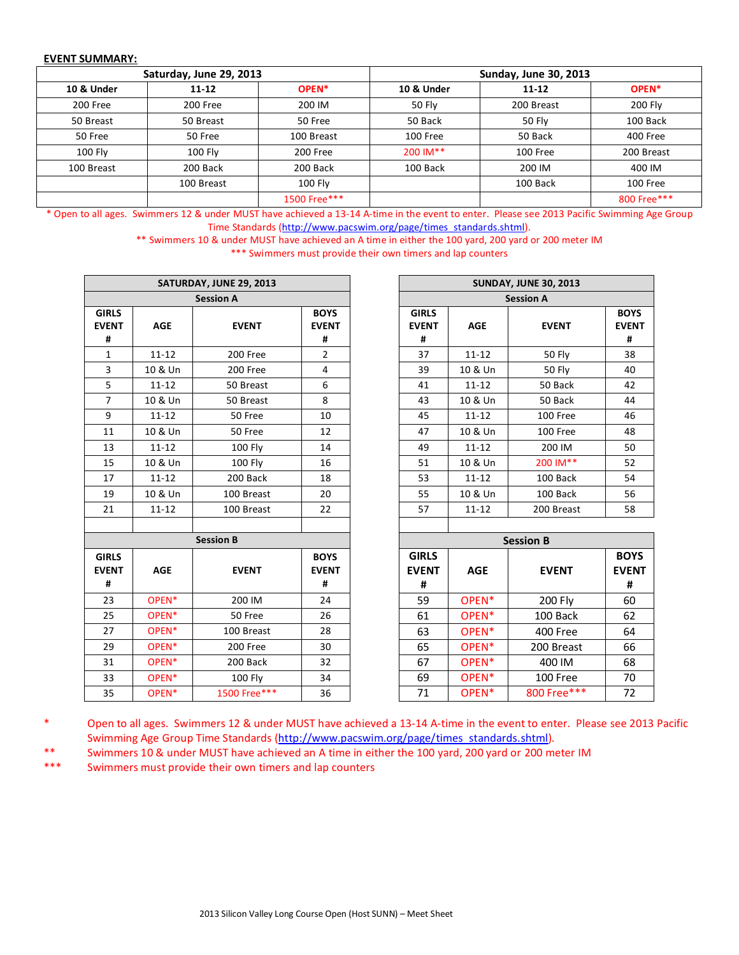### **EVENT SUMMARY:**

|            | Saturday, June 29, 2013 |              | <b>Sunday, June 30, 2013</b> |               |                   |  |  |  |  |
|------------|-------------------------|--------------|------------------------------|---------------|-------------------|--|--|--|--|
| 10 & Under | $11 - 12$               | OPEN*        | 10 & Under                   | $11 - 12$     | OPEN <sup>*</sup> |  |  |  |  |
| 200 Free   | 200 Free                | 200 IM       | 50 Fly                       | 200 Breast    | 200 Fly           |  |  |  |  |
| 50 Breast  | 50 Breast               | 50 Free      | 50 Back                      | <b>50 Fly</b> | 100 Back          |  |  |  |  |
| 50 Free    | 50 Free                 | 100 Breast   | 100 Free                     | 50 Back       | 400 Free          |  |  |  |  |
| 100 Fly    | 100 Fly                 | 200 Free     | 200 IM**                     | 100 Free      | 200 Breast        |  |  |  |  |
| 100 Breast | 200 Back                | 200 Back     | 100 Back                     | 200 IM        | 400 IM            |  |  |  |  |
|            | 100 Breast              | 100 Fly      |                              | 100 Back      | 100 Free          |  |  |  |  |
|            |                         | 1500 Free*** |                              |               | 800 Free***       |  |  |  |  |

\* Open to all ages. Swimmers 12 & under MUST have achieved a 13-14 A-time in the event to enter. Please see 2013 Pacific Swimming Age Group Time Standards [\(http://www.pacswim.org/page/times\\_standards.shtml\)](http://www.pacswim.org/page/times_standards.shtml).

> \*\* Swimmers 10 & under MUST have achieved an A time in either the 100 yard, 200 yard or 200 meter IM \*\*\* Swimmers must provide their own timers and lap counters

|                                   |                   | SATURDAY, JUNE 29, 2013 |                                  |                                   |                   | <b>SUNDAY, JUNE 30, 2013</b> |  |
|-----------------------------------|-------------------|-------------------------|----------------------------------|-----------------------------------|-------------------|------------------------------|--|
|                                   |                   | <b>Session A</b>        |                                  |                                   |                   | <b>Session A</b>             |  |
| <b>GIRLS</b><br><b>EVENT</b><br># | <b>AGE</b>        | <b>EVENT</b>            | <b>BOYS</b><br><b>EVENT</b><br># | <b>GIRLS</b><br><b>EVENT</b><br># | <b>AGE</b>        | <b>EVENT</b>                 |  |
| $\mathbf{1}$                      | $11 - 12$         | 200 Free                | $\overline{2}$                   | 37                                | $11 - 12$         | <b>50 Fly</b>                |  |
| 3                                 | 10 & Un           | 200 Free                | 4                                | 39                                | 10 & Un           | <b>50 Fly</b>                |  |
| 5                                 | $11 - 12$         | 50 Breast               | 6                                | 41                                | $11 - 12$         | 50 Back                      |  |
| $\overline{7}$                    | 10 & Un           | 50 Breast               | 8                                | 43                                | 10 & Un           | 50 Back                      |  |
| 9                                 | $11 - 12$         | 50 Free                 | 10                               | 45                                | $11 - 12$         | 100 Free                     |  |
| 11                                | 10 & Un           | 50 Free                 | 12                               | 47                                | 10 & Un           | 100 Free                     |  |
| 13                                | $11 - 12$         | 100 Fly                 | 14                               | 49                                | $11 - 12$         | 200 IM                       |  |
| 15                                | 10 & Un           | 100 Fly                 | 16                               | 51                                | 10 & Un           | 200 IM**                     |  |
| 17                                | $11 - 12$         | 200 Back                | 18                               | 53                                | $11 - 12$         | 100 Back                     |  |
| 19                                | 10 & Un           | 100 Breast              | 20                               | 55                                | 10 & Un           | 100 Back                     |  |
| 21                                | $11 - 12$         | 100 Breast              | 22                               | 57                                | $11 - 12$         | 200 Breast                   |  |
|                                   |                   |                         |                                  |                                   |                   |                              |  |
|                                   |                   | <b>Session B</b>        |                                  |                                   |                   | <b>Session B</b>             |  |
| <b>GIRLS</b><br><b>EVENT</b><br># | <b>AGE</b>        | <b>EVENT</b>            | <b>BOYS</b><br><b>EVENT</b><br># | <b>GIRLS</b><br><b>EVENT</b><br># | <b>AGE</b>        | <b>EVENT</b>                 |  |
| 23                                | OPEN*             | 200 IM                  | 24                               | 59                                | OPEN*             | 200 Fly                      |  |
| 25                                | OPEN <sup>*</sup> | 50 Free                 | 26                               | 61                                | OPEN <sup>*</sup> | 100 Back                     |  |
| 27                                | OPEN <sup>*</sup> | 100 Breast              | 28                               | 63                                | OPEN <sup>*</sup> | 400 Free                     |  |
| 29                                | OPEN*             | 200 Free                | 30                               | 65                                | OPEN <sup>*</sup> | 200 Breast                   |  |
| 31                                | OPEN <sup>*</sup> | 200 Back                | 32                               | 67                                | OPEN <sup>*</sup> | 400 IM                       |  |
| 33                                | OPEN <sup>*</sup> | 100 Fly                 | 34                               | 69                                | OPEN*             | 100 Free                     |  |
| 35                                | OPEN*             | 1500 Free***            | 36                               | 71                                | OPEN <sup>*</sup> | 800 Free***                  |  |

| <b>SUNDAY, JUNE 30, 2013</b>      |                  |              |                                  |  |  |  |  |  |  |
|-----------------------------------|------------------|--------------|----------------------------------|--|--|--|--|--|--|
|                                   | <b>Session A</b> |              |                                  |  |  |  |  |  |  |
| <b>GIRLS</b><br><b>EVENT</b><br># | AGE              | <b>EVENT</b> | <b>BOYS</b><br><b>EVENT</b><br># |  |  |  |  |  |  |
| 37                                | $11 - 12$        | 50 Fly       | 38                               |  |  |  |  |  |  |
| 39                                | 10 & Un          | 50 Fly       | 40                               |  |  |  |  |  |  |
| 41                                | $11 - 12$        | 50 Back      | 42                               |  |  |  |  |  |  |
| 43                                | 10 & Un          | 50 Back      | 44                               |  |  |  |  |  |  |
| 45                                | $11 - 12$        | 100 Free     | 46                               |  |  |  |  |  |  |
| 47                                | 10 & Un          | 100 Free     | 48                               |  |  |  |  |  |  |
| 49                                | $11 - 12$        | 200 IM       | 50                               |  |  |  |  |  |  |
| 51                                | 10 & Un          | 200 IM**     | 52                               |  |  |  |  |  |  |
| 53                                | 11-12            | 100 Back     | 54                               |  |  |  |  |  |  |
| 55                                | 10 & Un          | 100 Back     | 56                               |  |  |  |  |  |  |
| 57                                | $11 - 12$        | 200 Breast   | 58                               |  |  |  |  |  |  |
|                                   |                  |              |                                  |  |  |  |  |  |  |

| <b>Session B</b>         |                   |              |                                  |                                   |                   | <b>Session B</b> |                                  |
|--------------------------|-------------------|--------------|----------------------------------|-----------------------------------|-------------------|------------------|----------------------------------|
| IRLS<br><b>/ENT</b><br># | <b>AGE</b>        | <b>EVENT</b> | <b>BOYS</b><br><b>EVENT</b><br># | <b>GIRLS</b><br><b>EVENT</b><br># | <b>AGE</b>        | <b>EVENT</b>     | <b>BOYS</b><br><b>EVENT</b><br># |
| 23                       | OPEN <sup>*</sup> | 200 IM       | 24                               | 59                                | OPEN <sup>*</sup> | 200 Fly          | 60                               |
| 25.                      | OPEN <sup>*</sup> | 50 Free      | 26                               | 61                                | OPEN <sup>*</sup> | 100 Back         | 62                               |
| 27                       | OPEN <sup>*</sup> | 100 Breast   | 28                               | 63                                | OPEN <sup>*</sup> | 400 Free         | 64                               |
| 29                       | OPEN <sup>*</sup> | 200 Free     | 30                               | 65                                | OPEN <sup>*</sup> | 200 Breast       | 66                               |
| 31                       | OPEN <sup>*</sup> | 200 Back     | 32                               | 67                                | OPEN <sup>*</sup> | 400 IM           | 68                               |
| 33                       | OPEN <sup>*</sup> | 100 Fly      | 34                               | 69                                | OPEN <sup>*</sup> | 100 Free         | 70                               |
| 35                       | OPEN*             | 1500 Free*** | 36                               | 71                                | OPEN <sup>*</sup> | 800 Free***      | 72                               |

<sup>\*</sup> Open to all ages. Swimmers 12 & under MUST have achieved a 13-14 A-time in the event to enter. Please see 2013 Pacific Swimming Age Group Time Standards [\(http://www.pacswim.org/page/times\\_standards.shtml\)](http://www.pacswim.org/page/times_standards.shtml).

Swimmers 10 & under MUST have achieved an A time in either the 100 yard, 200 yard or 200 meter IM

\*\*\* Swimmers must provide their own timers and lap counters